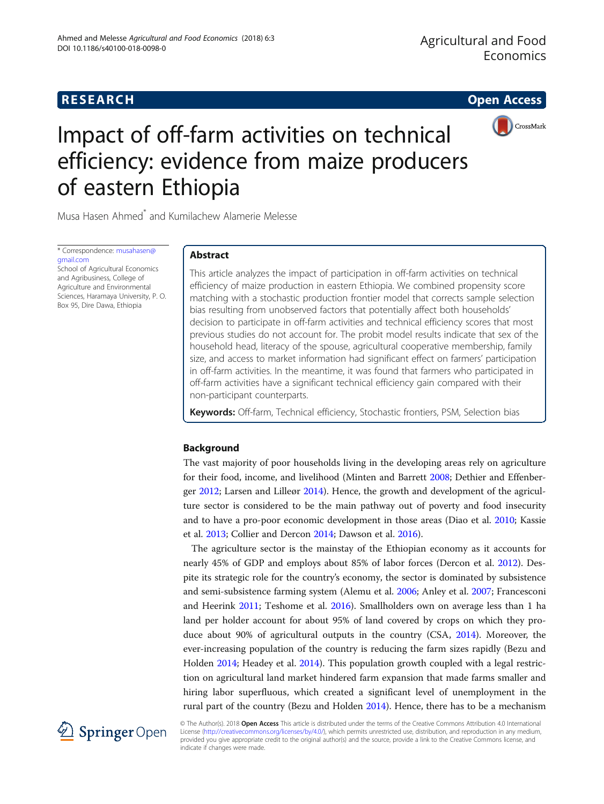# **RESEARCH RESEARCH CONSUMING ACCESS**



# Impact of off-farm activities on technical efficiency: evidence from maize producers of eastern Ethiopia

Musa Hasen Ahmed\* and Kumilachew Alamerie Melesse

\* Correspondence: [musahasen@](mailto:musahasen@gmail.com) [gmail.com](mailto:musahasen@gmail.com)

School of Agricultural Economics and Agribusiness, College of Agriculture and Environmental Sciences, Haramaya University, P. O. Box 95, Dire Dawa, Ethiopia

# Abstract

This article analyzes the impact of participation in off-farm activities on technical efficiency of maize production in eastern Ethiopia. We combined propensity score matching with a stochastic production frontier model that corrects sample selection bias resulting from unobserved factors that potentially affect both households' decision to participate in off-farm activities and technical efficiency scores that most previous studies do not account for. The probit model results indicate that sex of the household head, literacy of the spouse, agricultural cooperative membership, family size, and access to market information had significant effect on farmers' participation in off-farm activities. In the meantime, it was found that farmers who participated in off-farm activities have a significant technical efficiency gain compared with their non-participant counterparts.

Keywords: Off-farm, Technical efficiency, Stochastic frontiers, PSM, Selection bias

# Background

The vast majority of poor households living in the developing areas rely on agriculture for their food, income, and livelihood (Minten and Barrett [2008;](#page-14-0) Dethier and Effenberger [2012](#page-13-0); Larsen and Lilleør [2014](#page-14-0)). Hence, the growth and development of the agriculture sector is considered to be the main pathway out of poverty and food insecurity and to have a pro-poor economic development in those areas (Diao et al. [2010;](#page-13-0) Kassie et al. [2013;](#page-14-0) Collier and Dercon [2014](#page-13-0); Dawson et al. [2016](#page-13-0)).

The agriculture sector is the mainstay of the Ethiopian economy as it accounts for nearly 45% of GDP and employs about 85% of labor forces (Dercon et al. [2012\)](#page-13-0). Despite its strategic role for the country's economy, the sector is dominated by subsistence and semi-subsistence farming system (Alemu et al. [2006](#page-12-0); Anley et al. [2007;](#page-12-0) Francesconi and Heerink [2011](#page-13-0); Teshome et al. [2016](#page-14-0)). Smallholders own on average less than 1 ha land per holder account for about 95% of land covered by crops on which they produce about 90% of agricultural outputs in the country (CSA, [2014](#page-13-0)). Moreover, the ever-increasing population of the country is reducing the farm sizes rapidly (Bezu and Holden [2014;](#page-13-0) Headey et al. [2014](#page-14-0)). This population growth coupled with a legal restriction on agricultural land market hindered farm expansion that made farms smaller and hiring labor superfluous, which created a significant level of unemployment in the rural part of the country (Bezu and Holden [2014\)](#page-13-0). Hence, there has to be a mechanism



© The Author(s). 2018 Open Access This article is distributed under the terms of the Creative Commons Attribution 4.0 International License [\(http://creativecommons.org/licenses/by/4.0/](http://creativecommons.org/licenses/by/4.0/)), which permits unrestricted use, distribution, and reproduction in any medium, provided you give appropriate credit to the original author(s) and the source, provide a link to the Creative Commons license, and indicate if changes were made.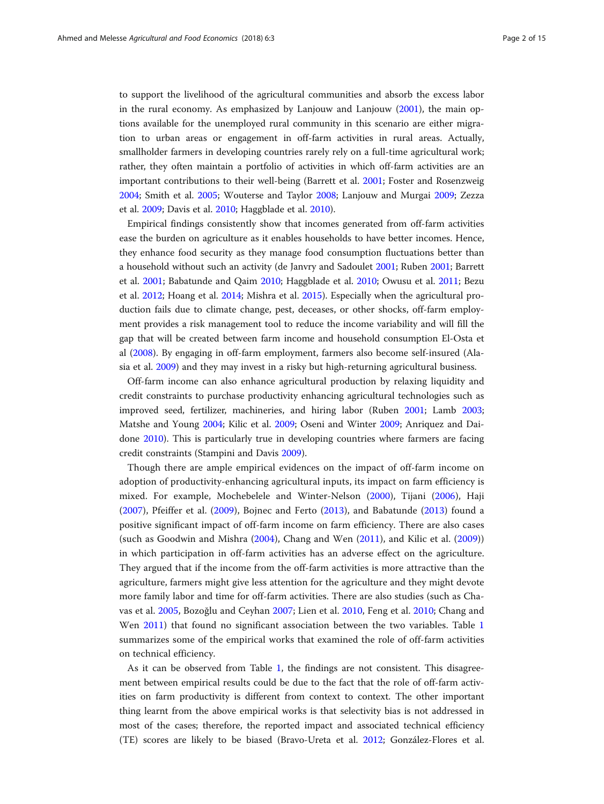to support the livelihood of the agricultural communities and absorb the excess labor in the rural economy. As emphasized by Lanjouw and Lanjouw ([2001](#page-14-0)), the main options available for the unemployed rural community in this scenario are either migration to urban areas or engagement in off-farm activities in rural areas. Actually, smallholder farmers in developing countries rarely rely on a full-time agricultural work; rather, they often maintain a portfolio of activities in which off-farm activities are an important contributions to their well-being (Barrett et al. [2001;](#page-13-0) Foster and Rosenzweig [2004](#page-13-0); Smith et al. [2005;](#page-14-0) Wouterse and Taylor [2008;](#page-14-0) Lanjouw and Murgai [2009](#page-14-0); Zezza et al. [2009;](#page-14-0) Davis et al. [2010](#page-13-0); Haggblade et al. [2010\)](#page-13-0).

Empirical findings consistently show that incomes generated from off-farm activities ease the burden on agriculture as it enables households to have better incomes. Hence, they enhance food security as they manage food consumption fluctuations better than a household without such an activity (de Janvry and Sadoulet [2001](#page-13-0); Ruben [2001](#page-14-0); Barrett et al. [2001;](#page-13-0) Babatunde and Qaim [2010;](#page-13-0) Haggblade et al. [2010;](#page-13-0) Owusu et al. [2011](#page-14-0); Bezu et al. [2012](#page-13-0); Hoang et al. [2014](#page-14-0); Mishra et al. [2015\)](#page-14-0). Especially when the agricultural production fails due to climate change, pest, deceases, or other shocks, off-farm employment provides a risk management tool to reduce the income variability and will fill the gap that will be created between farm income and household consumption El-Osta et al [\(2008\)](#page-13-0). By engaging in off-farm employment, farmers also become self-insured (Alasia et al. [2009](#page-12-0)) and they may invest in a risky but high-returning agricultural business.

Off-farm income can also enhance agricultural production by relaxing liquidity and credit constraints to purchase productivity enhancing agricultural technologies such as improved seed, fertilizer, machineries, and hiring labor (Ruben [2001;](#page-14-0) Lamb [2003](#page-14-0); Matshe and Young [2004;](#page-14-0) Kilic et al. [2009;](#page-14-0) Oseni and Winter [2009](#page-14-0); Anriquez and Daidone [2010](#page-12-0)). This is particularly true in developing countries where farmers are facing credit constraints (Stampini and Davis [2009](#page-14-0)).

Though there are ample empirical evidences on the impact of off-farm income on adoption of productivity-enhancing agricultural inputs, its impact on farm efficiency is mixed. For example, Mochebelele and Winter-Nelson ([2000\)](#page-14-0), Tijani ([2006](#page-14-0)), Haji ([2007\)](#page-13-0), Pfeiffer et al. ([2009\)](#page-14-0), Bojnec and Ferto [\(2013](#page-13-0)), and Babatunde [\(2013](#page-13-0)) found a positive significant impact of off-farm income on farm efficiency. There are also cases (such as Goodwin and Mishra ([2004\)](#page-13-0), Chang and Wen ([2011\)](#page-13-0), and Kilic et al. [\(2009](#page-14-0))) in which participation in off-farm activities has an adverse effect on the agriculture. They argued that if the income from the off-farm activities is more attractive than the agriculture, farmers might give less attention for the agriculture and they might devote more family labor and time for off-farm activities. There are also studies (such as Chavas et al. [2005,](#page-13-0) Bozoğlu and Ceyhan [2007](#page-13-0); Lien et al. [2010,](#page-14-0) Feng et al. [2010;](#page-13-0) Chang and Wen [2011\)](#page-13-0) that found no significant association between the two variables. Table [1](#page-2-0) summarizes some of the empirical works that examined the role of off-farm activities on technical efficiency.

As it can be observed from Table [1,](#page-2-0) the findings are not consistent. This disagreement between empirical results could be due to the fact that the role of off-farm activities on farm productivity is different from context to context. The other important thing learnt from the above empirical works is that selectivity bias is not addressed in most of the cases; therefore, the reported impact and associated technical efficiency (TE) scores are likely to be biased (Bravo-Ureta et al. [2012;](#page-13-0) González-Flores et al.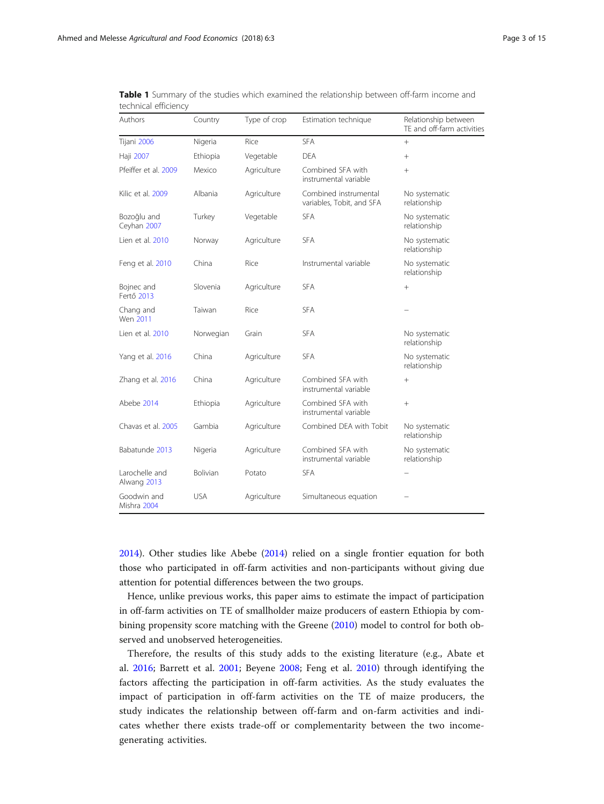| Authors                       | Country    | Type of crop | Estimation technique                               | Relationship between<br>TE and off-farm activities |
|-------------------------------|------------|--------------|----------------------------------------------------|----------------------------------------------------|
| Tijani 2006                   | Nigeria    | Rice         | <b>SFA</b>                                         | $^{+}$                                             |
| Haji 2007                     | Ethiopia   | Vegetable    | <b>DEA</b>                                         | $^{+}$                                             |
| Pfeiffer et al. 2009          | Mexico     | Agriculture  | Combined SFA with<br>instrumental variable         | $^{+}$                                             |
| Kilic et al. 2009             | Albania    | Agriculture  | Combined instrumental<br>variables, Tobit, and SFA | No systematic<br>relationship                      |
| Bozoğlu and<br>Ceyhan 2007    | Turkey     | Vegetable    | <b>SFA</b>                                         | No systematic<br>relationship                      |
| Lien et al. 2010              | Norway     | Agriculture  | <b>SFA</b>                                         | No systematic<br>relationship                      |
| Feng et al. 2010              | China      | Rice         | Instrumental variable                              | No systematic<br>relationship                      |
| Bojnec and<br>Fertő 2013      | Slovenia   | Agriculture  | <b>SFA</b>                                         | $^{+}$                                             |
| Chang and<br>Wen 2011         | Taiwan     | Rice         | <b>SFA</b>                                         |                                                    |
| Lien et al. 2010              | Norwegian  | Grain        | <b>SFA</b>                                         | No systematic<br>relationship                      |
| Yang et al. 2016              | China      | Agriculture  | <b>SFA</b>                                         | No systematic<br>relationship                      |
| Zhang et al. 2016             | China      | Agriculture  | Combined SFA with<br>instrumental variable         | $^{+}$                                             |
| Abebe 2014                    | Ethiopia   | Agriculture  | Combined SFA with<br>instrumental variable         | $^{+}$                                             |
| Chavas et al. 2005            | Gambia     | Agriculture  | Combined DEA with Tobit                            | No systematic<br>relationship                      |
| Babatunde 2013                | Nigeria    | Agriculture  | Combined SFA with<br>instrumental variable         | No systematic<br>relationship                      |
| Larochelle and<br>Alwang 2013 | Bolivian   | Potato       | <b>SFA</b>                                         |                                                    |
| Goodwin and<br>Mishra 2004    | <b>USA</b> | Agriculture  | Simultaneous equation                              |                                                    |

<span id="page-2-0"></span>Table 1 Summary of the studies which examined the relationship between off-farm income and technical efficiency

[2014](#page-13-0)). Other studies like Abebe ([2014\)](#page-12-0) relied on a single frontier equation for both those who participated in off-farm activities and non-participants without giving due attention for potential differences between the two groups.

Hence, unlike previous works, this paper aims to estimate the impact of participation in off-farm activities on TE of smallholder maize producers of eastern Ethiopia by combining propensity score matching with the Greene ([2010\)](#page-13-0) model to control for both observed and unobserved heterogeneities.

Therefore, the results of this study adds to the existing literature (e.g., Abate et al. [2016](#page-12-0); Barrett et al. [2001;](#page-13-0) Beyene [2008;](#page-13-0) Feng et al. [2010\)](#page-13-0) through identifying the factors affecting the participation in off-farm activities. As the study evaluates the impact of participation in off-farm activities on the TE of maize producers, the study indicates the relationship between off-farm and on-farm activities and indicates whether there exists trade-off or complementarity between the two incomegenerating activities.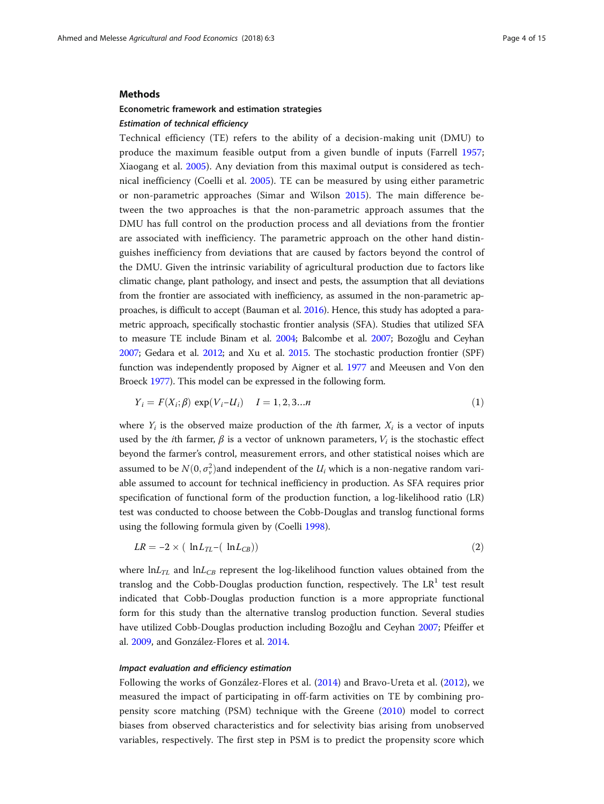# Methods

# Econometric framework and estimation strategies Estimation of technical efficiency

Technical efficiency (TE) refers to the ability of a decision-making unit (DMU) to produce the maximum feasible output from a given bundle of inputs (Farrell [1957](#page-13-0); Xiaogang et al. [2005](#page-14-0)). Any deviation from this maximal output is considered as technical inefficiency (Coelli et al. [2005\)](#page-13-0). TE can be measured by using either parametric or non-parametric approaches (Simar and Wilson [2015\)](#page-14-0). The main difference between the two approaches is that the non-parametric approach assumes that the DMU has full control on the production process and all deviations from the frontier are associated with inefficiency. The parametric approach on the other hand distinguishes inefficiency from deviations that are caused by factors beyond the control of the DMU. Given the intrinsic variability of agricultural production due to factors like climatic change, plant pathology, and insect and pests, the assumption that all deviations from the frontier are associated with inefficiency, as assumed in the non-parametric approaches, is difficult to accept (Bauman et al. [2016](#page-13-0)). Hence, this study has adopted a parametric approach, specifically stochastic frontier analysis (SFA). Studies that utilized SFA to measure TE include Binam et al. [2004](#page-13-0); Balcombe et al. [2007;](#page-13-0) Bozoğlu and Ceyhan [2007;](#page-13-0) Gedara et al. [2012](#page-13-0); and Xu et al. [2015.](#page-14-0) The stochastic production frontier (SPF) function was independently proposed by Aigner et al. [1977](#page-12-0) and Meeusen and Von den Broeck [1977](#page-14-0)). This model can be expressed in the following form.

# $Y_i = F(X_i; \beta) \exp(V_i - U_i)$   $I = 1, 2, 3...n$  (1)

where  $Y_i$  is the observed maize production of the *i*th farmer,  $X_i$  is a vector of inputs used by the *i*th farmer,  $\beta$  is a vector of unknown parameters,  $V_i$  is the stochastic effect beyond the farmer's control, measurement errors, and other statistical noises which are assumed to be  $N(0, \sigma_v^2)$  and independent of the  $U_i$  which is a non-negative random variable assumed to account for technical inefficiency in production. As SFA requires prior specification of functional form of the production function, a log-likelihood ratio (LR) test was conducted to choose between the Cobb-Douglas and translog functional forms using the following formula given by (Coelli [1998\)](#page-13-0).

$$
LR = -2 \times ( \ln L_{TL} - ( \ln L_{CB}) ) \tag{2}
$$

where  $lnL_{TL}$  and  $lnL_{CB}$  represent the log-likelihood function values obtained from the translog and the Cobb-Douglas production function, respectively. The  $LR<sup>1</sup>$  test result indicated that Cobb-Douglas production function is a more appropriate functional form for this study than the alternative translog production function. Several studies have utilized Cobb-Douglas production including Bozoğlu and Ceyhan [2007](#page-13-0); Pfeiffer et al. [2009](#page-14-0), and González-Flores et al. [2014](#page-13-0).

# Impact evaluation and efficiency estimation

Following the works of González-Flores et al. [\(2014](#page-13-0)) and Bravo-Ureta et al. ([2012\)](#page-13-0), we measured the impact of participating in off-farm activities on TE by combining propensity score matching (PSM) technique with the Greene ([2010\)](#page-13-0) model to correct biases from observed characteristics and for selectivity bias arising from unobserved variables, respectively. The first step in PSM is to predict the propensity score which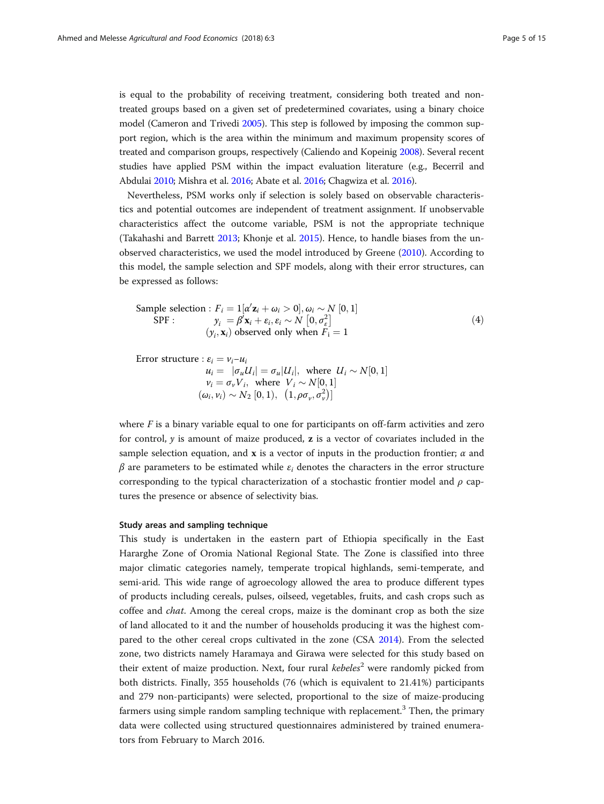is equal to the probability of receiving treatment, considering both treated and nontreated groups based on a given set of predetermined covariates, using a binary choice model (Cameron and Trivedi [2005](#page-13-0)). This step is followed by imposing the common support region, which is the area within the minimum and maximum propensity scores of treated and comparison groups, respectively (Caliendo and Kopeinig [2008\)](#page-13-0). Several recent studies have applied PSM within the impact evaluation literature (e.g., Becerril and Abdulai [2010](#page-13-0); Mishra et al. [2016](#page-14-0); Abate et al. [2016](#page-12-0); Chagwiza et al. [2016\)](#page-13-0).

Nevertheless, PSM works only if selection is solely based on observable characteristics and potential outcomes are independent of treatment assignment. If unobservable characteristics affect the outcome variable, PSM is not the appropriate technique (Takahashi and Barrett [2013](#page-14-0); Khonje et al. [2015\)](#page-14-0). Hence, to handle biases from the unobserved characteristics, we used the model introduced by Greene [\(2010\)](#page-13-0). According to this model, the sample selection and SPF models, along with their error structures, can be expressed as follows:

Sample selection : 
$$
F_i = 1[\alpha' \mathbf{z}_i + \omega_i > 0], \omega_i \sim N[0, 1]
$$
  
SPF :  $y_i = \beta' \mathbf{x}_i + \varepsilon_i, \varepsilon_i \sim N[0, \sigma_{\varepsilon}^2]$   
 $(y_i, \mathbf{x}_i)$  observed only when  $F_i = 1$  (4)

Error structure :  $\varepsilon_i = v_i - u_i$  $u_i = |\sigma_u U_i| = \sigma_u |U_i|$ , where  $U_i \sim N[0, 1]$  $v_i = \sigma_v V_i$ , where  $V_i \sim N[0, 1]$  $(\omega_i, \nu_i) \sim N_2 [0, 1), (1, \rho \sigma_{\nu}, \sigma_{\nu}^2)]$ 

where  $F$  is a binary variable equal to one for participants on off-farm activities and zero for control,  $y$  is amount of maize produced,  $z$  is a vector of covariates included in the sample selection equation, and  $x$  is a vector of inputs in the production frontier;  $\alpha$  and  $\beta$  are parameters to be estimated while  $\varepsilon_i$  denotes the characters in the error structure corresponding to the typical characterization of a stochastic frontier model and  $\rho$  captures the presence or absence of selectivity bias.

# Study areas and sampling technique

This study is undertaken in the eastern part of Ethiopia specifically in the East Hararghe Zone of Oromia National Regional State. The Zone is classified into three major climatic categories namely, temperate tropical highlands, semi-temperate, and semi-arid. This wide range of agroecology allowed the area to produce different types of products including cereals, pulses, oilseed, vegetables, fruits, and cash crops such as coffee and chat. Among the cereal crops, maize is the dominant crop as both the size of land allocated to it and the number of households producing it was the highest compared to the other cereal crops cultivated in the zone (CSA [2014](#page-13-0)). From the selected zone, two districts namely Haramaya and Girawa were selected for this study based on their extent of maize production. Next, four rural kebeles<sup>2</sup> were randomly picked from both districts. Finally, 355 households (76 (which is equivalent to 21.41%) participants and 279 non-participants) were selected, proportional to the size of maize-producing farmers using simple random sampling technique with replacement.<sup>3</sup> Then, the primary data were collected using structured questionnaires administered by trained enumerators from February to March 2016.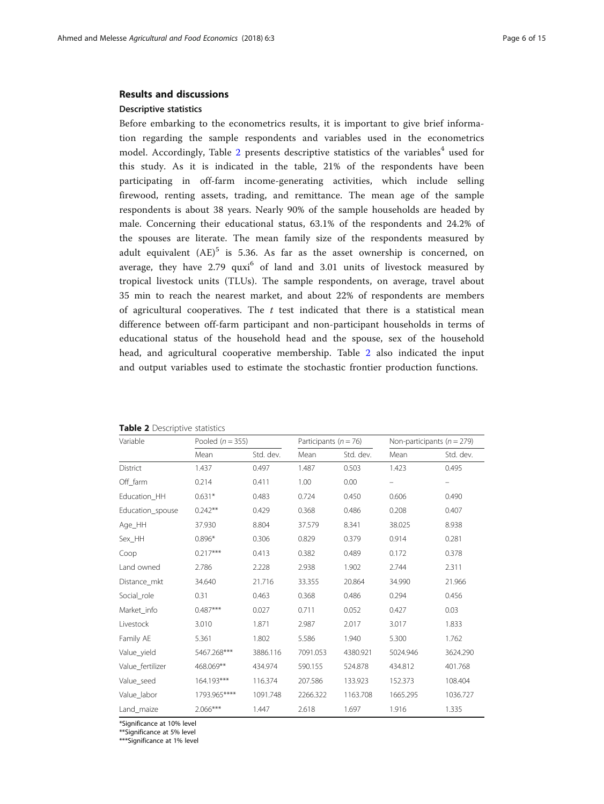# Results and discussions

# Descriptive statistics

Before embarking to the econometrics results, it is important to give brief information regarding the sample respondents and variables used in the econometrics model. Accordingly, Table 2 presents descriptive statistics of the variables<sup>4</sup> used for this study. As it is indicated in the table, 21% of the respondents have been participating in off-farm income-generating activities, which include selling firewood, renting assets, trading, and remittance. The mean age of the sample respondents is about 38 years. Nearly 90% of the sample households are headed by male. Concerning their educational status, 63.1% of the respondents and 24.2% of the spouses are literate. The mean family size of the respondents measured by adult equivalent  $(AE)^5$  is 5.36. As far as the asset ownership is concerned, on average, they have  $2.79$  quxi<sup>6</sup> of land and  $3.01$  units of livestock measured by tropical livestock units (TLUs). The sample respondents, on average, travel about 35 min to reach the nearest market, and about 22% of respondents are members of agricultural cooperatives. The  $t$  test indicated that there is a statistical mean difference between off-farm participant and non-participant households in terms of educational status of the household head and the spouse, sex of the household head, and agricultural cooperative membership. Table 2 also indicated the input and output variables used to estimate the stochastic frontier production functions.

| Variable         | Pooled $(n = 355)$ |           | Participants ( $n = 76$ ) |           | Non-participants ( $n = 279$ ) |           |
|------------------|--------------------|-----------|---------------------------|-----------|--------------------------------|-----------|
|                  | Mean               | Std. dev. | Mean                      | Std. dev. | Mean                           | Std. dev. |
| <b>District</b>  | 1.437              | 0.497     | 1.487                     | 0.503     | 1.423                          | 0.495     |
| Off_farm         | 0.214              | 0.411     | 1.00                      | 0.00      |                                | -         |
| Education HH     | $0.631*$           | 0.483     | 0.724                     | 0.450     | 0.606                          | 0.490     |
| Education_spouse | $0.242**$          | 0.429     | 0.368                     | 0.486     | 0.208                          | 0.407     |
| Age_HH           | 37.930             | 8.804     | 37.579                    | 8.341     | 38.025                         | 8.938     |
| Sex_HH           | $0.896*$           | 0.306     | 0.829                     | 0.379     | 0.914                          | 0.281     |
| Coop             | $0.217***$         | 0.413     | 0.382                     | 0.489     | 0.172                          | 0.378     |
| Land owned       | 2.786              | 2.228     | 2.938                     | 1.902     | 2.744                          | 2.311     |
| Distance mkt     | 34.640             | 21.716    | 33.355                    | 20.864    | 34.990                         | 21.966    |
| Social role      | 0.31               | 0.463     | 0.368                     | 0.486     | 0.294                          | 0.456     |
| Market info      | $0.487***$         | 0.027     | 0.711                     | 0.052     | 0.427                          | 0.03      |
| Livestock        | 3.010              | 1.871     | 2.987                     | 2.017     | 3.017                          | 1.833     |
| Family AE        | 5.361              | 1.802     | 5.586                     | 1.940     | 5.300                          | 1.762     |
| Value_yield      | 5467.268***        | 3886.116  | 7091.053                  | 4380.921  | 5024.946                       | 3624.290  |
| Value fertilizer | 468.069**          | 434.974   | 590.155                   | 524.878   | 434.812                        | 401.768   |
| Value seed       | 164.193***         | 116.374   | 207.586                   | 133.923   | 152.373                        | 108.404   |
| Value labor      | 1793.965****       | 1091.748  | 2266.322                  | 1163.708  | 1665.295                       | 1036.727  |
| Land maize       | 2.066***           | 1.447     | 2.618                     | 1.697     | 1.916                          | 1.335     |

#### Table 2 Descriptive statistics

\*Significance at 10% level

\*\*Significance at 5% level

\*\*\*Significance at 1% level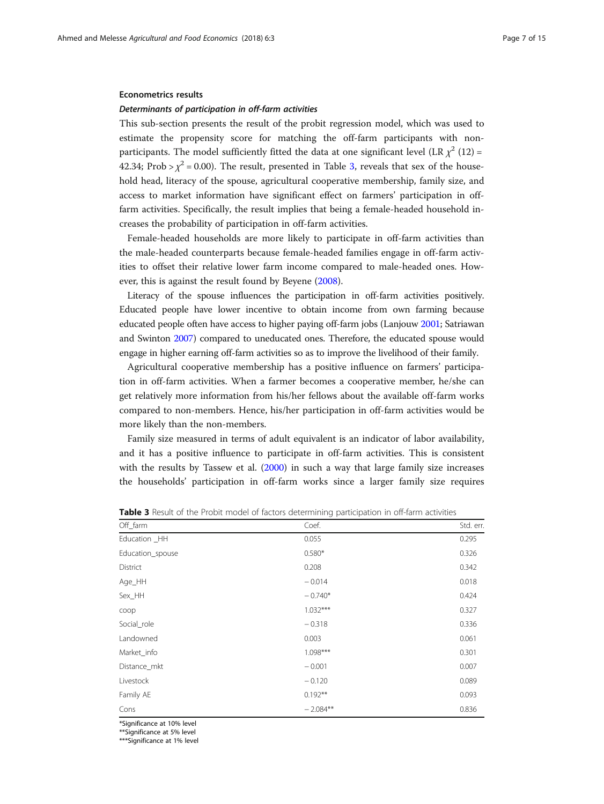## Econometrics results

# Determinants of participation in off-farm activities

This sub-section presents the result of the probit regression model, which was used to estimate the propensity score for matching the off-farm participants with nonparticipants. The model sufficiently fitted the data at one significant level (LR  $\chi^2$  (12) = 42.34; Prob >  $\chi^2$  = 0.00). The result, presented in Table 3, reveals that sex of the household head, literacy of the spouse, agricultural cooperative membership, family size, and access to market information have significant effect on farmers' participation in offfarm activities. Specifically, the result implies that being a female-headed household increases the probability of participation in off-farm activities.

Female-headed households are more likely to participate in off-farm activities than the male-headed counterparts because female-headed families engage in off-farm activities to offset their relative lower farm income compared to male-headed ones. However, this is against the result found by Beyene [\(2008](#page-13-0)).

Literacy of the spouse influences the participation in off-farm activities positively. Educated people have lower incentive to obtain income from own farming because educated people often have access to higher paying off-farm jobs (Lanjouw [2001](#page-14-0); Satriawan and Swinton [2007\)](#page-14-0) compared to uneducated ones. Therefore, the educated spouse would engage in higher earning off-farm activities so as to improve the livelihood of their family.

Agricultural cooperative membership has a positive influence on farmers' participation in off-farm activities. When a farmer becomes a cooperative member, he/she can get relatively more information from his/her fellows about the available off-farm works compared to non-members. Hence, his/her participation in off-farm activities would be more likely than the non-members.

Family size measured in terms of adult equivalent is an indicator of labor availability, and it has a positive influence to participate in off-farm activities. This is consistent with the results by Tassew et al. ([2000](#page-14-0)) in such a way that large family size increases the households' participation in off-farm works since a larger family size requires

| Off_farm         | Coef.      | Std. err. |
|------------------|------------|-----------|
| Education _HH    | 0.055      | 0.295     |
| Education_spouse | $0.580*$   | 0.326     |
| District         | 0.208      | 0.342     |
| Age_HH           | $-0.014$   | 0.018     |
| Sex_HH           | $-0.740*$  | 0.424     |
| coop             | $1.032***$ | 0.327     |
| Social_role      | $-0.318$   | 0.336     |
| Landowned        | 0.003      | 0.061     |
| Market_info      | $1.098***$ | 0.301     |
| Distance_mkt     | $-0.001$   | 0.007     |
| Livestock        | $-0.120$   | 0.089     |
| Family AE        | $0.192**$  | 0.093     |
| Cons             | $-2.084**$ | 0.836     |

Table 3 Result of the Probit model of factors determining participation in off-farm activities

\*Significance at 10% level

\*\*Significance at 5% level

\*\*\*Significance at 1% level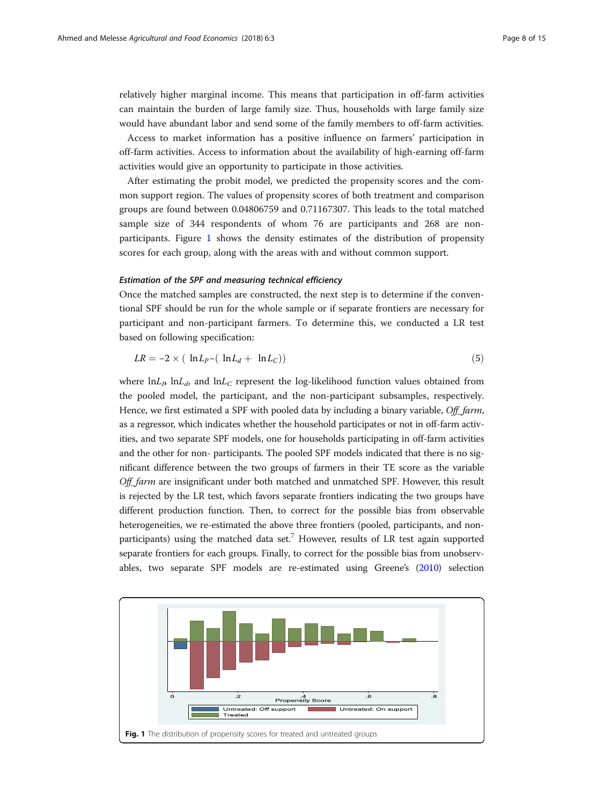relatively higher marginal income. This means that participation in off-farm activities can maintain the burden of large family size. Thus, households with large family size would have abundant labor and send some of the family members to off-farm activities.

Access to market information has a positive influence on farmers' participation in off-farm activities. Access to information about the availability of high-earning off-farm activities would give an opportunity to participate in those activities.

After estimating the probit model, we predicted the propensity scores and the common support region. The values of propensity scores of both treatment and comparison groups are found between 0.04806759 and 0.71167307. This leads to the total matched sample size of 344 respondents of whom 76 are participants and 268 are nonparticipants. Figure 1 shows the density estimates of the distribution of propensity scores for each group, along with the areas with and without common support.

# Estimation of the SPF and measuring technical efficiency

Once the matched samples are constructed, the next step is to determine if the conventional SPF should be run for the whole sample or if separate frontiers are necessary for participant and non-participant farmers. To determine this, we conducted a LR test based on following specification:

$$
LR = -2 \times (\ln L_P - (\ln L_d + \ln L_C))
$$
\n(5)

where  $\ln L_p \ln L_d$ , and  $\ln L_c$  represent the log-likelihood function values obtained from the pooled model, the participant, and the non-participant subsamples, respectively. Hence, we first estimated a SPF with pooled data by including a binary variable, Off\_farm, as a regressor, which indicates whether the household participates or not in off-farm activities, and two separate SPF models, one for households participating in off-farm activities and the other for non- participants. The pooled SPF models indicated that there is no significant difference between the two groups of farmers in their TE score as the variable Off farm are insignificant under both matched and unmatched SPF. However, this result is rejected by the LR test, which favors separate frontiers indicating the two groups have different production function. Then, to correct for the possible bias from observable heterogeneities, we re-estimated the above three frontiers (pooled, participants, and nonparticipants) using the matched data set.<sup>7</sup> However, results of LR test again supported separate frontiers for each groups. Finally, to correct for the possible bias from unobservables, two separate SPF models are re-estimated using Greene's [\(2010\)](#page-13-0) selection

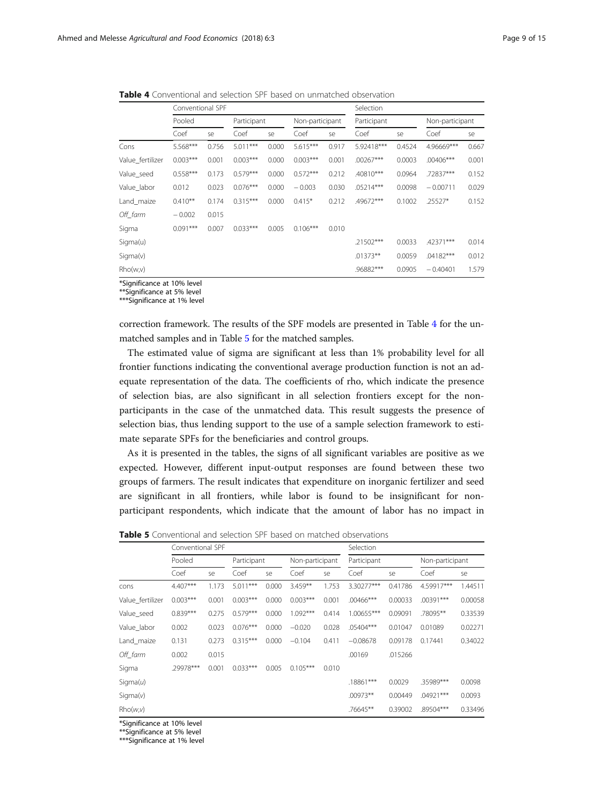|                  | Conventional SPF |       |             |       |                 |       | Selection   |        |                 |       |
|------------------|------------------|-------|-------------|-------|-----------------|-------|-------------|--------|-----------------|-------|
|                  | Pooled           |       | Participant |       | Non-participant |       | Participant |        | Non-participant |       |
|                  | Coef             | se    | Coef        | se    | Coef            | se    | Coef        | se     | Coef            | se    |
| Cons             | 5.568***         | 0.756 | $5.011***$  | 0.000 | $5.615***$      | 0.917 | 5.92418***  | 0.4524 | 4.96669***      | 0.667 |
| Value fertilizer | $0.003***$       | 0.001 | $0.003***$  | 0.000 | $0.003***$      | 0.001 | $.00267***$ | 0.0003 | $.00406***$     | 0.001 |
| Value seed       | $0.558***$       | 0.173 | $0.579***$  | 0.000 | $0.572***$      | 0.212 | $.40810***$ | 0.0964 | .72837***       | 0.152 |
| Value labor      | 0.012            | 0.023 | $0.076***$  | 0.000 | $-0.003$        | 0.030 | $.05214***$ | 0.0098 | $-0.00711$      | 0.029 |
| Land maize       | $0.410**$        | 0.174 | $0.315***$  | 0.000 | $0.415*$        | 0.212 | .49672***   | 0.1002 | $.25527*$       | 0.152 |
| Off farm         | $-0.002$         | 0.015 |             |       |                 |       |             |        |                 |       |

<span id="page-8-0"></span>Table 4 Conventional and selection SPF based on unmatched observation

Sigma  $0.091***$   $0.007$   $0.033***$   $0.005$   $0.106***$   $0.010$ 

\*Significance at 10% level

\*\*Significance at 5% level

\*\*\*Significance at 1% level

correction framework. The results of the SPF models are presented in Table 4 for the unmatched samples and in Table 5 for the matched samples.

Sigma(u) .21502\*\*\* 0.0033 .42371\*\*\* 0.014 Sigma(v) .01373\*\* 0.0059 .04182\*\*\* 0.012 Rho(w,v) .96882<sup>\*\*\*</sup> 0.0905 − 0.40401 1.579

The estimated value of sigma are significant at less than 1% probability level for all frontier functions indicating the conventional average production function is not an adequate representation of the data. The coefficients of rho, which indicate the presence of selection bias, are also significant in all selection frontiers except for the nonparticipants in the case of the unmatched data. This result suggests the presence of selection bias, thus lending support to the use of a sample selection framework to estimate separate SPFs for the beneficiaries and control groups.

As it is presented in the tables, the signs of all significant variables are positive as we expected. However, different input-output responses are found between these two groups of farmers. The result indicates that expenditure on inorganic fertilizer and seed are significant in all frontiers, while labor is found to be insignificant for nonparticipant respondents, which indicate that the amount of labor has no impact in

|                  | Conventional SPF |       |             |       |            |                 | Selection    |         |                 |         |
|------------------|------------------|-------|-------------|-------|------------|-----------------|--------------|---------|-----------------|---------|
|                  | Pooled           |       | Participant |       |            | Non-participant |              |         | Non-participant |         |
|                  | Coef             | se    | Coef        | se    | Coef       | se              | Coef         | se      | Coef            | se      |
| cons             | $4.407***$       | 1.173 | $5.011***$  | 0.000 | $3.459**$  | 1.753           | 3.30277***   | 0.41786 | 4.59917***      | 1.44511 |
| Value_fertilizer | $0.003***$       | 0.001 | $0.003***$  | 0.000 | $0.003***$ | 0.001           | $.00466$ *** | 0.00033 | $.00391***$     | 0.00058 |
| Value seed       | $0.839***$       | 0.275 | $0.579***$  | 0.000 | $1.092***$ | 0.414           | 1.00655***   | 0.09091 | .78095**        | 0.33539 |
| Value labor      | 0.002            | 0.023 | $0.076***$  | 0.000 | $-0.020$   | 0.028           | $.05404***$  | 0.01047 | 0.01089         | 0.02271 |
| Land_maize       | 0.131            | 0.273 | $0.315***$  | 0.000 | $-0.104$   | 0.411           | $-0.08678$   | 0.09178 | 0.17441         | 0.34022 |
| Off_farm         | 0.002            | 0.015 |             |       |            |                 | .00169       | .015266 |                 |         |
| Sigma            | .29978***        | 0.001 | $0.033***$  | 0.005 | $0.105***$ | 0.010           |              |         |                 |         |
| Sigma $(u)$      |                  |       |             |       |            |                 | .18861***    | 0.0029  | .35989***       | 0.0098  |
| Sigma(v)         |                  |       |             |       |            |                 | $.00973**$   | 0.00449 | $.04921***$     | 0.0093  |
| Rho(w,v)         |                  |       |             |       |            |                 | .76645**     | 0.39002 | .89504***       | 0.33496 |

**Table 5** Conventional and selection SPF based on matched observations

\*Significance at 10% level

\*\*Significance at 5% level

\*\*\*Significance at 1% level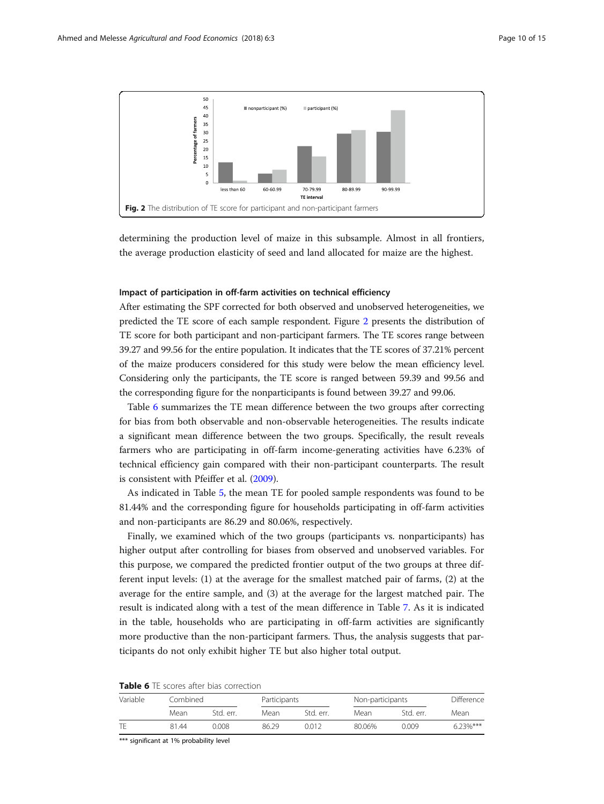

determining the production level of maize in this subsample. Almost in all frontiers, the average production elasticity of seed and land allocated for maize are the highest.

# Impact of participation in off-farm activities on technical efficiency

After estimating the SPF corrected for both observed and unobserved heterogeneities, we predicted the TE score of each sample respondent. Figure 2 presents the distribution of TE score for both participant and non-participant farmers. The TE scores range between 39.27 and 99.56 for the entire population. It indicates that the TE scores of 37.21% percent of the maize producers considered for this study were below the mean efficiency level. Considering only the participants, the TE score is ranged between 59.39 and 99.56 and the corresponding figure for the nonparticipants is found between 39.27 and 99.06.

Table 6 summarizes the TE mean difference between the two groups after correcting for bias from both observable and non-observable heterogeneities. The results indicate a significant mean difference between the two groups. Specifically, the result reveals farmers who are participating in off-farm income-generating activities have 6.23% of technical efficiency gain compared with their non-participant counterparts. The result is consistent with Pfeiffer et al. ([2009](#page-14-0)).

As indicated in Table [5,](#page-8-0) the mean TE for pooled sample respondents was found to be 81.44% and the corresponding figure for households participating in off-farm activities and non-participants are 86.29 and 80.06%, respectively.

Finally, we examined which of the two groups (participants vs. nonparticipants) has higher output after controlling for biases from observed and unobserved variables. For this purpose, we compared the predicted frontier output of the two groups at three different input levels: (1) at the average for the smallest matched pair of farms, (2) at the average for the entire sample, and (3) at the average for the largest matched pair. The result is indicated along with a test of the mean difference in Table [7.](#page-10-0) As it is indicated in the table, households who are participating in off-farm activities are significantly more productive than the non-participant farmers. Thus, the analysis suggests that participants do not only exhibit higher TE but also higher total output.

| Variable | Combined |           |       | Participants |        | Non-participants |            |
|----------|----------|-----------|-------|--------------|--------|------------------|------------|
|          | Mean     | Std. err. | Mean  | Std. err.    | Mean   | Std. err.        | Mean       |
|          | 81.44    | N 008.    | 86.29 | 0012         | 80.06% | 0.009            | $623\%***$ |

|  |  |  | <b>Table 6</b> TE scores after bias correction |
|--|--|--|------------------------------------------------|
|--|--|--|------------------------------------------------|

\*\*\* significant at 1% probability level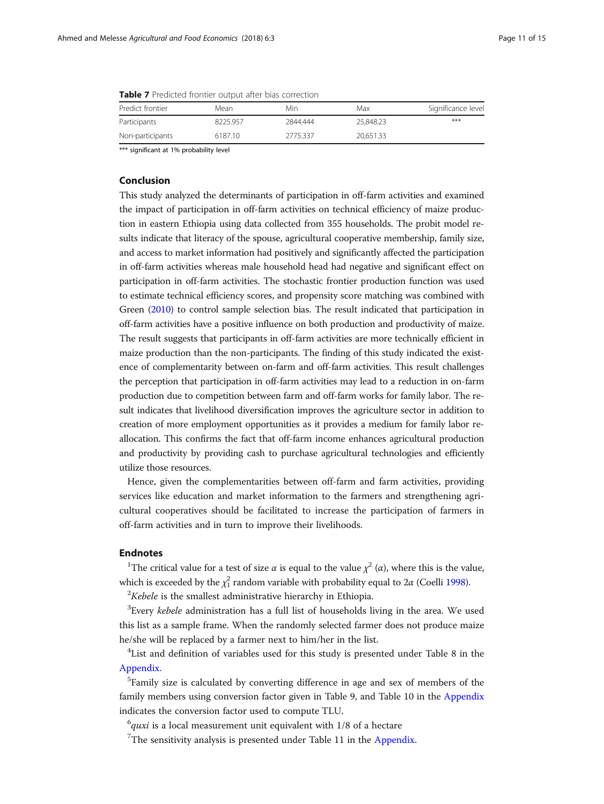| <b>NUMBER 1</b> I LONGEOU HOTIGICI OUGDUL UILCI <i>DIUS</i> CONTCCHONI |         |          |           |                    |  |  |  |
|------------------------------------------------------------------------|---------|----------|-----------|--------------------|--|--|--|
| Predict frontier                                                       | Mean    | Min      | Max       | Significance level |  |  |  |
| Participants                                                           | 8225957 | 2844.444 | 25,848,23 | ***                |  |  |  |
| Non-participants                                                       | 6187.10 | 2775.337 | 20.651.33 |                    |  |  |  |

<span id="page-10-0"></span>

| <b>Table 7</b> Predicted frontier output after bias correction |  |
|----------------------------------------------------------------|--|
|----------------------------------------------------------------|--|

\*\*\* significant at 1% probability level

# Conclusion

This study analyzed the determinants of participation in off-farm activities and examined the impact of participation in off-farm activities on technical efficiency of maize production in eastern Ethiopia using data collected from 355 households. The probit model results indicate that literacy of the spouse, agricultural cooperative membership, family size, and access to market information had positively and significantly affected the participation in off-farm activities whereas male household head had negative and significant effect on participation in off-farm activities. The stochastic frontier production function was used to estimate technical efficiency scores, and propensity score matching was combined with Green [\(2010](#page-13-0)) to control sample selection bias. The result indicated that participation in off-farm activities have a positive influence on both production and productivity of maize. The result suggests that participants in off-farm activities are more technically efficient in maize production than the non-participants. The finding of this study indicated the existence of complementarity between on-farm and off-farm activities. This result challenges the perception that participation in off-farm activities may lead to a reduction in on-farm production due to competition between farm and off-farm works for family labor. The result indicates that livelihood diversification improves the agriculture sector in addition to creation of more employment opportunities as it provides a medium for family labor reallocation. This confirms the fact that off-farm income enhances agricultural production and productivity by providing cash to purchase agricultural technologies and efficiently utilize those resources.

Hence, given the complementarities between off-farm and farm activities, providing services like education and market information to the farmers and strengthening agricultural cooperatives should be facilitated to increase the participation of farmers in off-farm activities and in turn to improve their livelihoods.

# Endnotes

<sup>1</sup>The critical value for a test of size  $\alpha$  is equal to the value  $\chi^2(\alpha)$ , where this is the value, which is exceeded by the  $\chi^2_1$  random variable with probability equal to 2 $\alpha$  (Coelli [1998](#page-13-0)).

 $2$ Kebele is the smallest administrative hierarchy in Ethiopia.

 ${}^{3}$ Every kebele administration has a full list of households living in the area. We used this list as a sample frame. When the randomly selected farmer does not produce maize he/she will be replaced by a farmer next to him/her in the list.

<sup>4</sup>List and definition of variables used for this study is presented under Table 8 in the Appendix.

5 Family size is calculated by converting difference in age and sex of members of the family members using conversion factor given in Table 9, and Table 10 in the Appendix indicates the conversion factor used to compute TLU.

 $^{6}$ quxi is a local measurement unit equivalent with 1/8 of a hectare

 $7$ The sensitivity analysis is presented under Table 11 in the Appendix.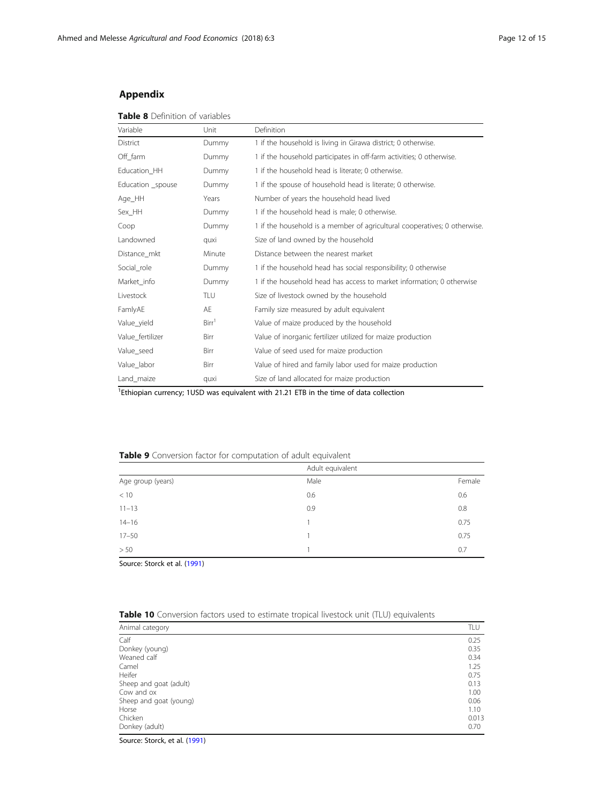# Appendix

| <b>Table 8</b> Definition of variables |
|----------------------------------------|
|----------------------------------------|

| Variable          | Unit              | Definition                                                                |
|-------------------|-------------------|---------------------------------------------------------------------------|
| <b>District</b>   | Dummy             | 1 if the household is living in Girawa district; 0 otherwise.             |
| Off_farm          | Dummy             | 1 if the household participates in off-farm activities; 0 otherwise.      |
| Education_HH      | Dummy             | 1 if the household head is literate; 0 otherwise.                         |
| Education _spouse | Dummy             | 1 if the spouse of household head is literate; 0 otherwise.               |
| Age_HH            | Years             | Number of years the household head lived                                  |
| Sex HH            | Dummy             | 1 if the household head is male; 0 otherwise.                             |
| Coop              | Dummy             | 1 if the household is a member of agricultural cooperatives; 0 otherwise. |
| Landowned         | quxi              | Size of land owned by the household                                       |
| Distance_mkt      | Minute            | Distance between the nearest market                                       |
| Social_role       | Dummy             | 1 if the household head has social responsibility; 0 otherwise            |
| Market_info       | Dummy             | 1 if the household head has access to market information; 0 otherwise     |
| Livestock         | TLU               | Size of livestock owned by the household                                  |
| FamlyAE           | AE                | Family size measured by adult equivalent                                  |
| Value_yield       | Birr <sup>1</sup> | Value of maize produced by the household                                  |
| Value_fertilizer  | Birr              | Value of inorganic fertilizer utilized for maize production               |
| Value_seed        | Birr              | Value of seed used for maize production                                   |
| Value_labor       | Birr              | Value of hired and family labor used for maize production                 |
| Land_maize        | quxi              | Size of land allocated for maize production                               |

<sup>1</sup>Ethiopian currency; 1USD was equivalent with 21.21 ETB in the time of data collection

# Table 9 Conversion factor for computation of adult equivalent

|                   | Adult equivalent |        |
|-------------------|------------------|--------|
| Age group (years) | Male             | Female |
| < 10              | 0.6              | 0.6    |
| $11 - 13$         | 0.9              | 0.8    |
| $14 - 16$         |                  | 0.75   |
| $17 - 50$         |                  | 0.75   |
| > 50              |                  | 0.7    |

Source: Storck et al. [\(1991](#page-14-0))

|  |  |  |  | Table 10 Conversion factors used to estimate tropical livestock unit (TLU) equivalents |  |  |
|--|--|--|--|----------------------------------------------------------------------------------------|--|--|
|--|--|--|--|----------------------------------------------------------------------------------------|--|--|

| Animal category        | TLU   |
|------------------------|-------|
| Calf                   | 0.25  |
| Donkey (young)         | 0.35  |
| Weaned calf            | 0.34  |
| Camel                  | 1.25  |
| Heifer                 | 0.75  |
| Sheep and goat (adult) | 0.13  |
| Cow and ox             | 1.00  |
| Sheep and goat (young) | 0.06  |
| Horse                  | 1.10  |
| Chicken                | 0.013 |
| Donkey (adult)         | 0.70  |

Source: Storck, et al. [\(1991\)](#page-14-0)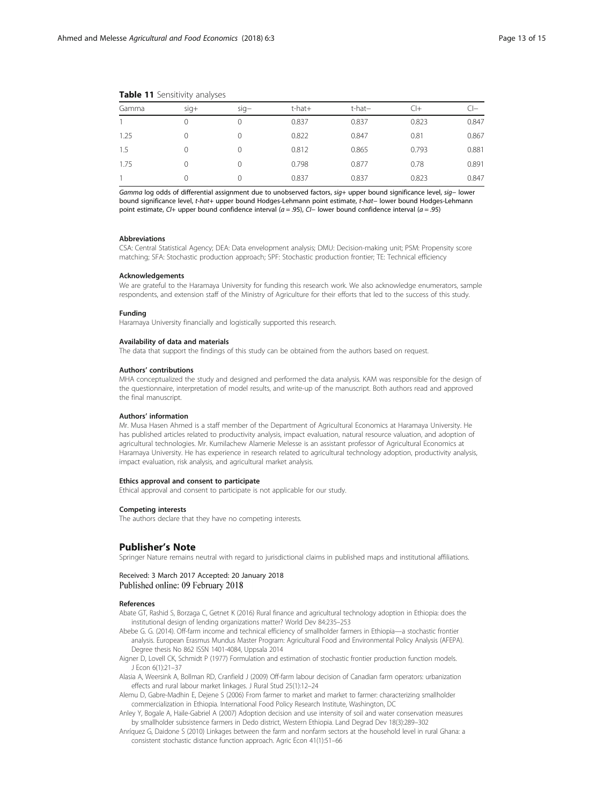|       | $\sim$ |        |        |        |       |       |  |
|-------|--------|--------|--------|--------|-------|-------|--|
| Gamma | $sig+$ | $sig-$ | t-hat+ | t-hat- | CI+   |       |  |
|       |        | 0      | 0.837  | 0.837  | 0.823 | 0.847 |  |
| 1.25  |        |        | 0.822  | 0.847  | 0.81  | 0.867 |  |
| 1.5   |        |        | 0.812  | 0.865  | 0.793 | 0.881 |  |
| 1.75  |        | 0      | 0.798  | 0.877  | 0.78  | 0.891 |  |
|       |        | 0      | 0.837  | 0.837  | 0.823 | 0.847 |  |

#### <span id="page-12-0"></span>Table 11 Sensitivity analyses

Gamma log odds of differential assignment due to unobserved factors, sig+ upper bound significance level, sig- lower bound significance level, t-hat+ upper bound Hodges-Lehmann point estimate, t-hat− lower bound Hodges-Lehmann point estimate, CI+ upper bound confidence interval (a = .95), CI− lower bound confidence interval (a = .95)

# Abbreviations

CSA: Central Statistical Agency; DEA: Data envelopment analysis; DMU: Decision-making unit; PSM: Propensity score matching; SFA: Stochastic production approach; SPF: Stochastic production frontier; TE: Technical efficiency

#### Acknowledgements

We are grateful to the Haramaya University for funding this research work. We also acknowledge enumerators, sample respondents, and extension staff of the Ministry of Agriculture for their efforts that led to the success of this study.

### Funding

Haramaya University financially and logistically supported this research.

# Availability of data and materials

The data that support the findings of this study can be obtained from the authors based on request.

#### Authors' contributions

MHA conceptualized the study and designed and performed the data analysis. KAM was responsible for the design of the questionnaire, interpretation of model results, and write-up of the manuscript. Both authors read and approved the final manuscript.

### Authors' information

Mr. Musa Hasen Ahmed is a staff member of the Department of Agricultural Economics at Haramaya University. He has published articles related to productivity analysis, impact evaluation, natural resource valuation, and adoption of agricultural technologies. Mr. Kumilachew Alamerie Melesse is an assistant professor of Agricultural Economics at Haramaya University. He has experience in research related to agricultural technology adoption, productivity analysis, impact evaluation, risk analysis, and agricultural market analysis.

#### Ethics approval and consent to participate

Ethical approval and consent to participate is not applicable for our study.

### Competing interests

The authors declare that they have no competing interests.

# Publisher's Note

Springer Nature remains neutral with regard to jurisdictional claims in published maps and institutional affiliations.

# Received: 3 March 2017 Accepted: 20 January 2018 Published online: 09 February 2018

#### References

- Abate GT, Rashid S, Borzaga C, Getnet K (2016) Rural finance and agricultural technology adoption in Ethiopia: does the institutional design of lending organizations matter? World Dev 84:235–253
- Abebe G. G. (2014). Off-farm income and technical efficiency of smallholder farmers in Ethiopia—a stochastic frontier analysis. European Erasmus Mundus Master Program: Agricultural Food and Environmental Policy Analysis (AFEPA). Degree thesis No 862 ISSN 1401-4084, Uppsala 2014
- Aigner D, Lovell CK, Schmidt P (1977) Formulation and estimation of stochastic frontier production function models. J Econ 6(1):21–37
- Alasia A, Weersink A, Bollman RD, Cranfield J (2009) Off-farm labour decision of Canadian farm operators: urbanization effects and rural labour market linkages. J Rural Stud 25(1):12–24
- Alemu D, Gabre-Madhin E, Dejene S (2006) From farmer to market and market to farmer: characterizing smallholder commercialization in Ethiopia. International Food Policy Research Institute, Washington, DC
- Anley Y, Bogale A, Haile-Gabriel A (2007) Adoption decision and use intensity of soil and water conservation measures by smallholder subsistence farmers in Dedo district, Western Ethiopia. Land Degrad Dev 18(3):289–302
- Anríquez G, Daidone S (2010) Linkages between the farm and nonfarm sectors at the household level in rural Ghana: a consistent stochastic distance function approach. Agric Econ 41(1):51–66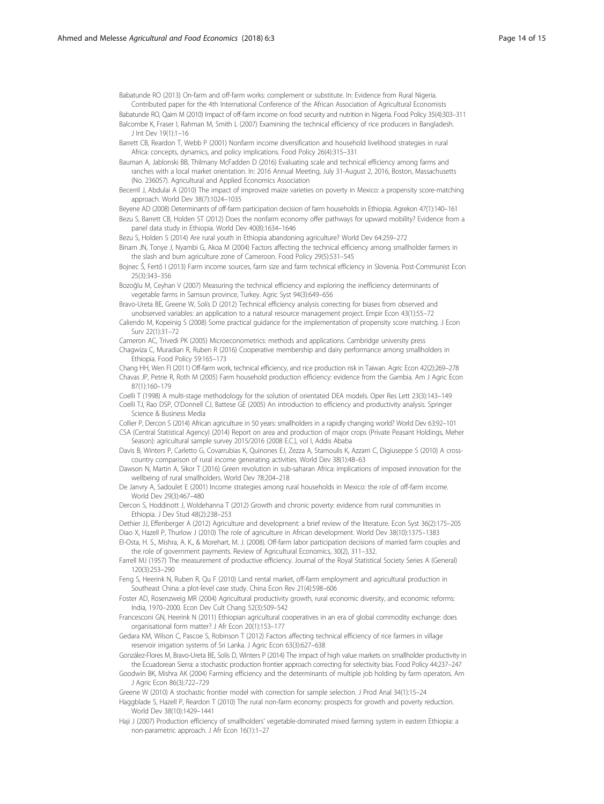<span id="page-13-0"></span>Babatunde RO (2013) On-farm and off-farm works: complement or substitute. In: Evidence from Rural Nigeria. Contributed paper for the 4th International Conference of the African Association of Agricultural Economists

- Babatunde RO, Qaim M (2010) Impact of off-farm income on food security and nutrition in Nigeria. Food Policy 35(4):303–311 Balcombe K, Fraser I, Rahman M, Smith L (2007) Examining the technical efficiency of rice producers in Bangladesh.
- J Int Dev 19(1):1–16 Barrett CB, Reardon T, Webb P (2001) Nonfarm income diversification and household livelihood strategies in rural Africa: concepts, dynamics, and policy implications. Food Policy 26(4):315–331

Bauman A, Jablonski BB, Thilmany McFadden D (2016) Evaluating scale and technical efficiency among farms and ranches with a local market orientation. In: 2016 Annual Meeting, July 31-August 2, 2016, Boston, Massachusetts (No. 236057). Agricultural and Applied Economics Association

Becerril J, Abdulai A (2010) The impact of improved maize varieties on poverty in Mexico: a propensity score-matching approach. World Dev 38(7):1024–1035

Beyene AD (2008) Determinants of off-farm participation decision of farm households in Ethiopia. Agrekon 47(1):140–161

Bezu S, Barrett CB, Holden ST (2012) Does the nonfarm economy offer pathways for upward mobility? Evidence from a panel data study in Ethiopia. World Dev 40(8):1634–1646

Bezu S, Holden S (2014) Are rural youth in Ethiopia abandoning agriculture? World Dev 64:259–272

Binam JN, Tonye J, Nyambi G, Akoa M (2004) Factors affecting the technical efficiency among smallholder farmers in the slash and burn agriculture zone of Cameroon. Food Policy 29(5):531–545

- Bojnec Š, Fertő I (2013) Farm income sources, farm size and farm technical efficiency in Slovenia. Post-Communist Econ 25(3):343–356
- Bozoğlu M, Ceyhan V (2007) Measuring the technical efficiency and exploring the inefficiency determinants of vegetable farms in Samsun province, Turkey. Agric Syst 94(3):649–656

Bravo-Ureta BE, Greene W, Solís D (2012) Technical efficiency analysis correcting for biases from observed and unobserved variables: an application to a natural resource management project. Empir Econ 43(1):55–72

- Caliendo M, Kopeinig S (2008) Some practical guidance for the implementation of propensity score matching. J Econ Surv 22(1):31–72
- Cameron AC, Trivedi PK (2005) Microeconometrics: methods and applications. Cambridge university press

Chagwiza C, Muradian R, Ruben R (2016) Cooperative membership and dairy performance among smallholders in Ethiopia. Food Policy 59:165–173

Chang HH, Wen FI (2011) Off-farm work, technical efficiency, and rice production risk in Taiwan. Agric Econ 42(2):269-278 Chavas JP, Petrie R, Roth M (2005) Farm household production efficiency: evidence from the Gambia. Am J Agric Econ 87(1):160–179

Coelli T (1998) A multi-stage methodology for the solution of orientated DEA models. Oper Res Lett 23(3):143–149 Coelli TJ, Rao DSP, O'Donnell CJ, Battese GE (2005) An introduction to efficiency and productivity analysis. Springer Science & Business Media

Collier P, Dercon S (2014) African agriculture in 50 years: smallholders in a rapidly changing world? World Dev 63:92–101 CSA (Central Statistical Agency) (2014) Report on area and production of major crops (Private Peasant Holdings, Meher

Season): agricultural sample survey 2015/2016 (2008 E.C.), vol I, Addis Ababa Davis B, Winters P, Carletto G, Covarrubias K, Quinones EJ, Zezza A, Stamoulis K, Azzarri C, Digiuseppe S (2010) A crosscountry comparison of rural income generating activities. World Dev 38(1):48–63

Dawson N, Martin A, Sikor T (2016) Green revolution in sub-saharan Africa: implications of imposed innovation for the wellbeing of rural smallholders. World Dev 78:204–218

De Janvry A, Sadoulet E (2001) Income strategies among rural households in Mexico: the role of off-farm income. World Dev 29(3):467–480

Dercon S, Hoddinott J, Woldehanna T (2012) Growth and chronic poverty: evidence from rural communities in Ethiopia. J Dev Stud 48(2):238–253

Dethier JJ, Effenberger A (2012) Agriculture and development: a brief review of the literature. Econ Syst 36(2):175–205 Diao X, Hazell P, Thurlow J (2010) The role of agriculture in African development. World Dev 38(10):1375–1383

El-Osta, H. S., Mishra, A. K., & Morehart, M. J. (2008). Off-farm labor participation decisions of married farm couples and the role of government payments. Review of Agricultural Economics, 30(2), 311–332.

Farrell MJ (1957) The measurement of productive efficiency. Journal of the Royal Statistical Society Series A (General) 120(3):253–290

Feng S, Heerink N, Ruben R, Qu F (2010) Land rental market, off-farm employment and agricultural production in Southeast China: a plot-level case study. China Econ Rev 21(4):598–606

Foster AD, Rosenzweig MR (2004) Agricultural productivity growth, rural economic diversity, and economic reforms: India, 1970–2000. Econ Dev Cult Chang 52(3):509–542

Francesconi GN, Heerink N (2011) Ethiopian agricultural cooperatives in an era of global commodity exchange: does organisational form matter? J Afr Econ 20(1):153–177

Gedara KM, Wilson C, Pascoe S, Robinson T (2012) Factors affecting technical efficiency of rice farmers in village reservoir irrigation systems of Sri Lanka. J Agric Econ 63(3):627–638

González-Flores M, Bravo-Ureta BE, Solís D, Winters P (2014) The impact of high value markets on smallholder productivity in the Ecuadorean Sierra: a stochastic production frontier approach correcting for selectivity bias. Food Policy 44:237–247

Goodwin BK, Mishra AK (2004) Farming efficiency and the determinants of multiple job holding by farm operators. Am J Agric Econ 86(3):722–729

Greene W (2010) A stochastic frontier model with correction for sample selection. J Prod Anal 34(1):15–24

Haggblade S, Hazell P, Reardon T (2010) The rural non-farm economy: prospects for growth and poverty reduction. World Dev 38(10):1429–1441

Haji J (2007) Production efficiency of smallholders' vegetable-dominated mixed farming system in eastern Ethiopia: a non-parametric approach. J Afr Econ 16(1):1–27